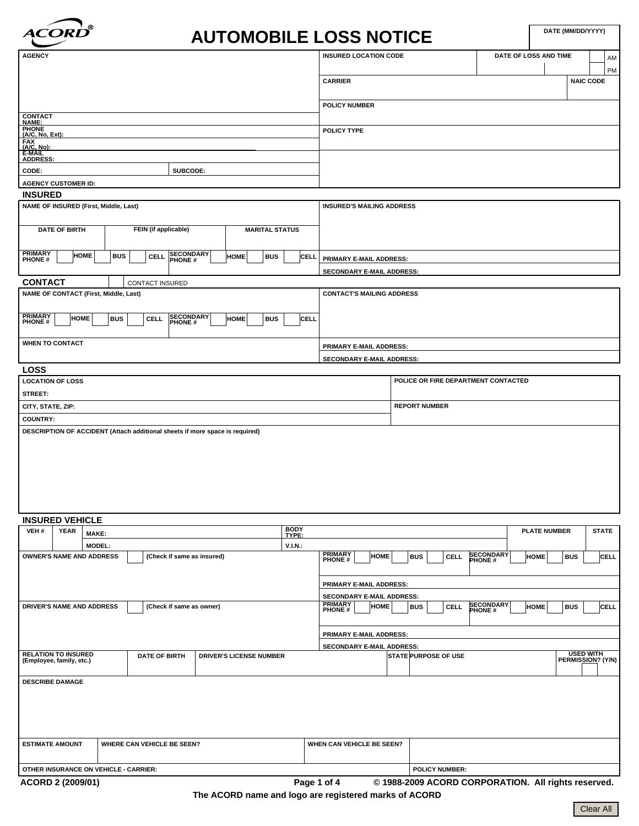

٦

|                                                                                                                  | <b>ACORD</b>                          |               |                                                                              |                                     |                       |             |                                                                                                                                           |                      | <b>AUTOMOBILE LOSS NOTICE</b> |                             |                                  |  |            |                                     |                             |                  |                       |                                     | DATE (MM/DD/YYYY) |                  |             |
|------------------------------------------------------------------------------------------------------------------|---------------------------------------|---------------|------------------------------------------------------------------------------|-------------------------------------|-----------------------|-------------|-------------------------------------------------------------------------------------------------------------------------------------------|----------------------|-------------------------------|-----------------------------|----------------------------------|--|------------|-------------------------------------|-----------------------------|------------------|-----------------------|-------------------------------------|-------------------|------------------|-------------|
| <b>AGENCY</b>                                                                                                    |                                       |               |                                                                              |                                     |                       |             |                                                                                                                                           |                      |                               |                             | <b>INSURED LOCATION CODE</b>     |  |            |                                     |                             |                  | DATE OF LOSS AND TIME |                                     |                   |                  | AM          |
|                                                                                                                  |                                       |               |                                                                              |                                     |                       |             |                                                                                                                                           |                      | <b>CARRIER</b>                |                             |                                  |  |            |                                     |                             |                  |                       |                                     |                   | <b>NAIC CODE</b> | PM          |
|                                                                                                                  |                                       |               |                                                                              |                                     |                       |             |                                                                                                                                           |                      |                               | <b>POLICY NUMBER</b>        |                                  |  |            |                                     |                             |                  |                       |                                     |                   |                  |             |
| <b>CONTACT<br/>NAME:</b>                                                                                         |                                       |               |                                                                              |                                     |                       |             |                                                                                                                                           |                      |                               |                             |                                  |  |            |                                     |                             |                  |                       |                                     |                   |                  |             |
| <b>PHONE</b><br>(A/C, No, Ext):                                                                                  |                                       |               |                                                                              |                                     |                       |             |                                                                                                                                           |                      | POLICY TYPE                   |                             |                                  |  |            |                                     |                             |                  |                       |                                     |                   |                  |             |
| <b>FAX</b><br>(A/C, No):<br>E-MAIL                                                                               |                                       |               |                                                                              |                                     |                       |             |                                                                                                                                           |                      |                               |                             |                                  |  |            |                                     |                             |                  |                       |                                     |                   |                  |             |
| <b>ADDRESS:</b>                                                                                                  |                                       |               |                                                                              |                                     |                       |             |                                                                                                                                           |                      |                               |                             |                                  |  |            |                                     |                             |                  |                       |                                     |                   |                  |             |
| SUBCODE:<br>CODE:                                                                                                |                                       |               |                                                                              |                                     |                       |             |                                                                                                                                           |                      |                               |                             |                                  |  |            |                                     |                             |                  |                       |                                     |                   |                  |             |
|                                                                                                                  | <b>AGENCY CUSTOMER ID:</b>            |               |                                                                              |                                     |                       |             |                                                                                                                                           |                      |                               |                             |                                  |  |            |                                     |                             |                  |                       |                                     |                   |                  |             |
| <b>INSURED</b>                                                                                                   |                                       |               |                                                                              |                                     |                       |             |                                                                                                                                           |                      |                               |                             |                                  |  |            |                                     |                             |                  |                       |                                     |                   |                  |             |
|                                                                                                                  | NAME OF INSURED (First, Middle, Last) |               |                                                                              |                                     |                       |             |                                                                                                                                           |                      |                               |                             | <b>INSURED'S MAILING ADDRESS</b> |  |            |                                     |                             |                  |                       |                                     |                   |                  |             |
|                                                                                                                  | <b>DATE OF BIRTH</b>                  |               |                                                                              | FEIN (if applicable)                | <b>MARITAL STATUS</b> |             |                                                                                                                                           |                      |                               |                             |                                  |  |            |                                     |                             |                  |                       |                                     |                   |                  |             |
| <b>PRIMARY</b><br>PHONE #                                                                                        |                                       | <b>HOME</b>   | <b>BUS</b>                                                                   | SECONDARY<br>PHONE #<br><b>CELL</b> |                       | <b>HOME</b> | <b>BUS</b>                                                                                                                                | CELL                 |                               |                             | PRIMARY E-MAIL ADDRESS:          |  |            |                                     |                             |                  |                       |                                     |                   |                  |             |
|                                                                                                                  |                                       |               |                                                                              |                                     |                       |             |                                                                                                                                           |                      |                               |                             | SECONDARY E-MAIL ADDRESS:        |  |            |                                     |                             |                  |                       |                                     |                   |                  |             |
| <b>CONTACT</b>                                                                                                   |                                       |               |                                                                              | CONTACT INSURED                     |                       |             |                                                                                                                                           |                      |                               |                             |                                  |  |            |                                     |                             |                  |                       |                                     |                   |                  |             |
|                                                                                                                  |                                       |               | NAME OF CONTACT (First, Middle, Last)                                        |                                     |                       |             |                                                                                                                                           |                      |                               |                             | <b>CONTACT'S MAILING ADDRESS</b> |  |            |                                     |                             |                  |                       |                                     |                   |                  |             |
| <b>PRIMARY</b><br>PHONE #                                                                                        | <b>HOME</b>                           |               | <b>BUS</b><br><b>CELL</b>                                                    | SECONDARY                           |                       | <b>HOME</b> | <b>BUS</b>                                                                                                                                | CELL                 |                               |                             |                                  |  |            |                                     |                             |                  |                       |                                     |                   |                  |             |
|                                                                                                                  | <b>WHEN TO CONTACT</b>                |               |                                                                              |                                     |                       |             |                                                                                                                                           |                      |                               |                             |                                  |  |            |                                     |                             |                  |                       |                                     |                   |                  |             |
|                                                                                                                  |                                       |               |                                                                              |                                     |                       |             |                                                                                                                                           |                      |                               |                             | PRIMARY E-MAIL ADDRESS:          |  |            |                                     |                             |                  |                       |                                     |                   |                  |             |
| <b>LOSS</b>                                                                                                      |                                       |               |                                                                              |                                     |                       |             |                                                                                                                                           |                      |                               |                             | SECONDARY E-MAIL ADDRESS:        |  |            |                                     |                             |                  |                       |                                     |                   |                  |             |
|                                                                                                                  | <b>LOCATION OF LOSS</b>               |               |                                                                              |                                     |                       |             |                                                                                                                                           |                      |                               |                             |                                  |  |            | POLICE OR FIRE DEPARTMENT CONTACTED |                             |                  |                       |                                     |                   |                  |             |
| STREET:                                                                                                          |                                       |               |                                                                              |                                     |                       |             |                                                                                                                                           |                      |                               |                             |                                  |  |            |                                     |                             |                  |                       |                                     |                   |                  |             |
| CITY, STATE, ZIP:                                                                                                |                                       |               |                                                                              |                                     |                       |             |                                                                                                                                           |                      |                               | <b>REPORT NUMBER</b>        |                                  |  |            |                                     |                             |                  |                       |                                     |                   |                  |             |
| <b>COUNTRY:</b>                                                                                                  |                                       |               |                                                                              |                                     |                       |             |                                                                                                                                           |                      |                               |                             |                                  |  |            |                                     |                             |                  |                       |                                     |                   |                  |             |
|                                                                                                                  |                                       |               | DESCRIPTION OF ACCIDENT (Attach additional sheets if more space is required) |                                     |                       |             |                                                                                                                                           |                      |                               |                             |                                  |  |            |                                     |                             |                  |                       |                                     |                   |                  |             |
|                                                                                                                  | <b>INSURED VEHICLE</b>                |               |                                                                              |                                     |                       |             |                                                                                                                                           |                      |                               |                             |                                  |  |            |                                     |                             |                  |                       |                                     |                   |                  |             |
| VEH#                                                                                                             | <b>YEAR</b>                           | MAKE:         |                                                                              |                                     |                       |             |                                                                                                                                           | <b>BODY</b><br>TYPE: |                               |                             |                                  |  |            |                                     |                             |                  |                       | <b>PLATE NUMBER</b><br><b>STATE</b> |                   |                  |             |
|                                                                                                                  |                                       | <b>MODEL:</b> |                                                                              |                                     |                       |             |                                                                                                                                           | V.I.N.               |                               |                             |                                  |  |            |                                     |                             |                  |                       |                                     |                   |                  |             |
|                                                                                                                  | <b>OWNER'S NAME AND ADDRESS</b>       |               |                                                                              | (Check if same as insured)          |                       |             |                                                                                                                                           |                      | <b>PRIMARY</b><br>PHONE #     |                             | <b>HOME</b>                      |  | <b>BUS</b> | <b>CELL</b>                         | <b>SECONDARY</b><br>PHONE # |                  | <b>HOME</b>           |                                     | <b>BUS</b>        |                  | <b>CELL</b> |
|                                                                                                                  |                                       |               |                                                                              |                                     |                       |             |                                                                                                                                           |                      | PRIMARY E-MAIL ADDRESS:       |                             |                                  |  |            |                                     |                             |                  |                       |                                     |                   |                  |             |
|                                                                                                                  |                                       |               |                                                                              |                                     |                       |             |                                                                                                                                           |                      |                               | SECONDARY E-MAIL ADDRESS:   |                                  |  |            |                                     |                             |                  |                       |                                     |                   |                  |             |
| DRIVER'S NAME AND ADDRESS<br>(Check if same as owner)                                                            |                                       |               |                                                                              |                                     |                       |             | <b>PRIMARY</b><br><b>SECONDARY</b><br>PHONE #<br><b>HOME</b><br><b>BUS</b><br><b>BUS</b><br>CELL<br><b>CELL</b><br><b>HOME</b><br>PHONE # |                      |                               |                             |                                  |  |            |                                     |                             |                  |                       |                                     |                   |                  |             |
|                                                                                                                  |                                       |               |                                                                              |                                     |                       |             |                                                                                                                                           |                      |                               |                             | PRIMARY E-MAIL ADDRESS:          |  |            |                                     |                             |                  |                       |                                     |                   |                  |             |
|                                                                                                                  |                                       |               |                                                                              |                                     |                       |             |                                                                                                                                           |                      |                               |                             | SECONDARY E-MAIL ADDRESS:        |  |            |                                     |                             |                  |                       |                                     |                   |                  |             |
| <b>RELATION TO INSURED</b><br><b>DATE OF BIRTH</b><br><b>DRIVER'S LICENSE NUMBER</b><br>(Employee, family, etc.) |                                       |               |                                                                              |                                     |                       |             |                                                                                                                                           |                      |                               | <b>STATE PURPOSE OF USE</b> |                                  |  |            |                                     | PERMISSION? (Y/N)           | <b>USED WITH</b> |                       |                                     |                   |                  |             |
|                                                                                                                  | <b>DESCRIBE DAMAGE</b>                |               |                                                                              |                                     |                       |             |                                                                                                                                           |                      |                               |                             |                                  |  |            |                                     |                             |                  |                       |                                     |                   |                  |             |
|                                                                                                                  | <b>ESTIMATE AMOUNT</b>                |               | WHERE CAN VEHICLE BE SEEN?                                                   |                                     |                       |             |                                                                                                                                           |                      | WHEN CAN VEHICLE BE SEEN?     |                             |                                  |  |            |                                     |                             |                  |                       |                                     |                   |                  |             |

**ACORD 2 (2009/01) Page 1 of 4 © 1988-2009 ACORD CORPORATION. All rights reserved.**

**The ACORD name and logo are registered marks of ACORD**

**OTHER INSURANCE ON VEHICLE - CARRIER: POLICY NUMBER:**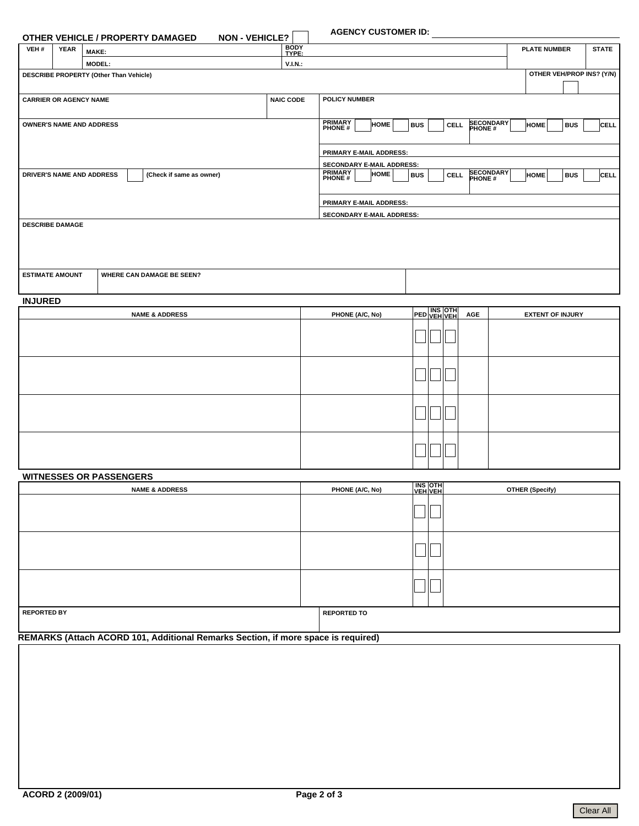# **AGENCY CUSTOMER ID:**

|                               |             | <b>NON - VEHICLE?</b><br><b>OTHER VEHICLE / PROPERTY DAMAGED</b> |                                                                                          | <b>AGENCY CUSTOMER ID:</b> |                     |              |  |  |  |  |  |  |  |  |
|-------------------------------|-------------|------------------------------------------------------------------|------------------------------------------------------------------------------------------|----------------------------|---------------------|--------------|--|--|--|--|--|--|--|--|
| VEH#                          | <b>YEAR</b> | <b>MAKE:</b>                                                     | <b>BODY</b><br>TYPE:                                                                     |                            | <b>PLATE NUMBER</b> | <b>STATE</b> |  |  |  |  |  |  |  |  |
|                               |             | <b>MODEL:</b>                                                    | V.I.N.                                                                                   |                            |                     |              |  |  |  |  |  |  |  |  |
|                               |             | DESCRIBE PROPERTY (Other Than Vehicle)                           |                                                                                          | OTHER VEH/PROP INS? (Y/N)  |                     |              |  |  |  |  |  |  |  |  |
| <b>CARRIER OR AGENCY NAME</b> |             | <b>NAIC CODE</b>                                                 | <b>POLICY NUMBER</b>                                                                     |                            |                     |              |  |  |  |  |  |  |  |  |
|                               |             | <b>OWNER'S NAME AND ADDRESS</b>                                  | <b>PRIMARY</b><br>SECONDARY<br><b>HOME</b><br><b>BUS</b><br><b>CELL</b><br><b>PHONE#</b> | <b>HOME</b><br><b>BUS</b>  | CELL                |              |  |  |  |  |  |  |  |  |
|                               |             |                                                                  |                                                                                          | PRIMARY E-MAIL ADDRESS:    |                     |              |  |  |  |  |  |  |  |  |
|                               |             |                                                                  |                                                                                          | SECONDARY E-MAIL ADDRESS:  |                     |              |  |  |  |  |  |  |  |  |
|                               |             | <b>DRIVER'S NAME AND ADDRESS</b><br>(Check if same as owner)     | <b>PRIMARY</b><br>SECONDARY<br><b>HOME</b><br><b>BUS</b><br><b>CELL</b><br><b>PHONE#</b> | <b>HOME</b><br><b>BUS</b>  | CELL                |              |  |  |  |  |  |  |  |  |
|                               |             |                                                                  | <b>PRIMARY E-MAIL ADDRESS:</b>                                                           |                            |                     |              |  |  |  |  |  |  |  |  |
|                               |             |                                                                  | <b>SECONDARY E-MAIL ADDRESS:</b>                                                         |                            |                     |              |  |  |  |  |  |  |  |  |
| <b>DESCRIBE DAMAGE</b>        |             |                                                                  |                                                                                          |                            |                     |              |  |  |  |  |  |  |  |  |
| <b>ESTIMATE AMOUNT</b>        |             | <b>WHERE CAN DAMAGE BE SEEN?</b>                                 |                                                                                          |                            |                     |              |  |  |  |  |  |  |  |  |

# **INJURED**

| <b>NAME &amp; ADDRESS</b> | <b>PHONE (A/C, No)</b> |  | PED VEH VEH | AGE | <b>EXTENT OF INJURY</b> |
|---------------------------|------------------------|--|-------------|-----|-------------------------|
|                           |                        |  |             |     |                         |
|                           |                        |  |             |     |                         |
|                           |                        |  |             |     |                         |
|                           |                        |  |             |     |                         |

| <b>WITNESSES OR PASSENGERS</b> |                                                   |                           |  |                        |  |  |  |  |  |
|--------------------------------|---------------------------------------------------|---------------------------|--|------------------------|--|--|--|--|--|
| <b>NAME &amp; ADDRESS</b>      | PHONE (A/C, No)                                   | <b>INS OTH</b><br>VEH VEH |  | <b>OTHER (Specify)</b> |  |  |  |  |  |
|                                |                                                   |                           |  |                        |  |  |  |  |  |
|                                |                                                   |                           |  |                        |  |  |  |  |  |
|                                |                                                   |                           |  |                        |  |  |  |  |  |
| <b>REPORTED BY</b>             | <b>REPORTED TO</b><br>$\sim$ $\sim$ $\sim$ $\sim$ |                           |  |                        |  |  |  |  |  |

**REMARKS (Attach ACORD 101, Additional Remarks Section, if more space is required)**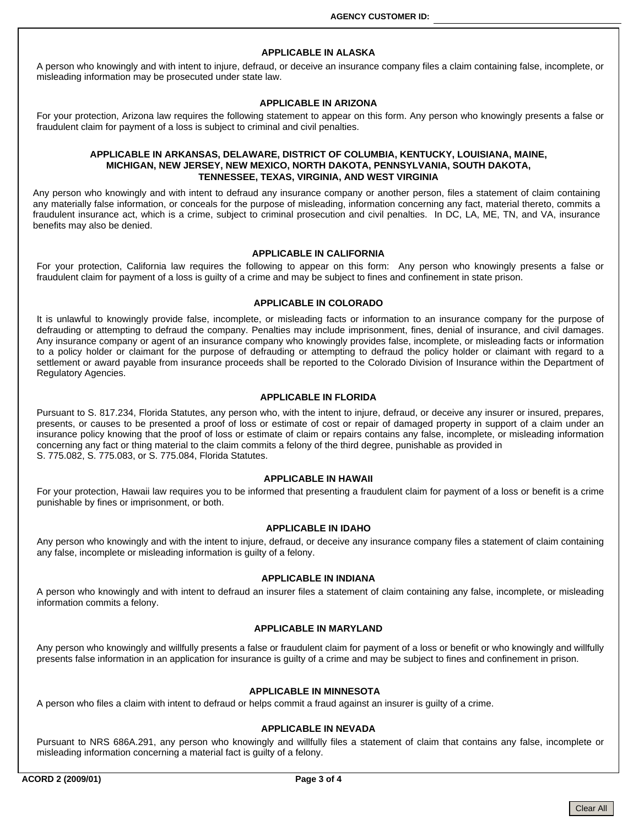### **APPLICABLE IN ALASKA**

A person who knowingly and with intent to injure, defraud, or deceive an insurance company files a claim containing false, incomplete, or misleading information may be prosecuted under state law.

### **APPLICABLE IN ARIZONA**

For your protection, Arizona law requires the following statement to appear on this form. Any person who knowingly presents a false or fraudulent claim for payment of a loss is subject to criminal and civil penalties.

## **APPLICABLE IN ARKANSAS, DELAWARE, DISTRICT OF COLUMBIA, KENTUCKY, LOUISIANA, MAINE, MICHIGAN, NEW JERSEY, NEW MEXICO, NORTH DAKOTA, PENNSYLVANIA, SOUTH DAKOTA, TENNESSEE, TEXAS, VIRGINIA, AND WEST VIRGINIA**

Any person who knowingly and with intent to defraud any insurance company or another person, files a statement of claim containing any materially false information, or conceals for the purpose of misleading, information concerning any fact, material thereto, commits a fraudulent insurance act, which is a crime, subject to criminal prosecution and civil penalties. In DC, LA, ME, TN, and VA, insurance benefits may also be denied.

#### **APPLICABLE IN CALIFORNIA**

For your protection, California law requires the following to appear on this form: Any person who knowingly presents a false or fraudulent claim for payment of a loss is guilty of a crime and may be subject to fines and confinement in state prison.

## **APPLICABLE IN COLORADO**

It is unlawful to knowingly provide false, incomplete, or misleading facts or information to an insurance company for the purpose of defrauding or attempting to defraud the company. Penalties may include imprisonment, fines, denial of insurance, and civil damages. Any insurance company or agent of an insurance company who knowingly provides false, incomplete, or misleading facts or information to a policy holder or claimant for the purpose of defrauding or attempting to defraud the policy holder or claimant with regard to a settlement or award payable from insurance proceeds shall be reported to the Colorado Division of Insurance within the Department of Regulatory Agencies.

#### **APPLICABLE IN FLORIDA**

Pursuant to S. 817.234, Florida Statutes, any person who, with the intent to injure, defraud, or deceive any insurer or insured, prepares, presents, or causes to be presented a proof of loss or estimate of cost or repair of damaged property in support of a claim under an insurance policy knowing that the proof of loss or estimate of claim or repairs contains any false, incomplete, or misleading information concerning any fact or thing material to the claim commits a felony of the third degree, punishable as provided in S. 775.082, S. 775.083, or S. 775.084, Florida Statutes.

#### **APPLICABLE IN HAWAII**

For your protection, Hawaii law requires you to be informed that presenting a fraudulent claim for payment of a loss or benefit is a crime punishable by fines or imprisonment, or both.

## **APPLICABLE IN IDAHO**

Any person who knowingly and with the intent to injure, defraud, or deceive any insurance company files a statement of claim containing any false, incomplete or misleading information is guilty of a felony.

# **APPLICABLE IN INDIANA**

A person who knowingly and with intent to defraud an insurer files a statement of claim containing any false, incomplete, or misleading information commits a felony.

#### **APPLICABLE IN MARYLAND**

Any person who knowingly and willfully presents a false or fraudulent claim for payment of a loss or benefit or who knowingly and willfully presents false information in an application for insurance is guilty of a crime and may be subject to fines and confinement in prison.

## **APPLICABLE IN MINNESOTA**

A person who files a claim with intent to defraud or helps commit a fraud against an insurer is guilty of a crime.

#### **APPLICABLE IN NEVADA**

Pursuant to NRS 686A.291, any person who knowingly and willfully files a statement of claim that contains any false, incomplete or misleading information concerning a material fact is guilty of a felony.